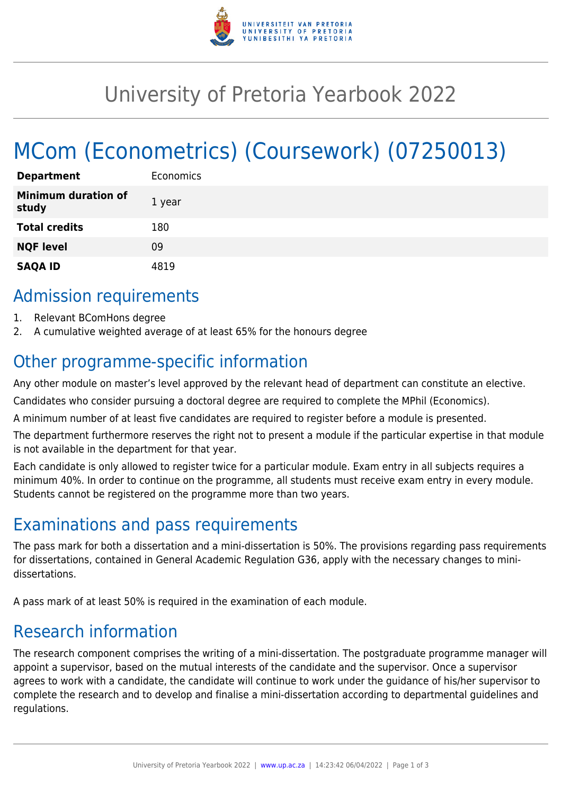

# University of Pretoria Yearbook 2022

# MCom (Econometrics) (Coursework) (07250013)

| <b>Department</b>                   | Economics |
|-------------------------------------|-----------|
| <b>Minimum duration of</b><br>study | 1 year    |
| <b>Total credits</b>                | 180       |
| <b>NQF level</b>                    | 09        |
| <b>SAQA ID</b>                      | 4819      |

## Admission requirements

- 1. Relevant BComHons degree
- 2. A cumulative weighted average of at least 65% for the honours degree

## Other programme-specific information

Any other module on master's level approved by the relevant head of department can constitute an elective.

Candidates who consider pursuing a doctoral degree are required to complete the MPhil (Economics).

A minimum number of at least five candidates are required to register before a module is presented.

The department furthermore reserves the right not to present a module if the particular expertise in that module is not available in the department for that year.

Each candidate is only allowed to register twice for a particular module. Exam entry in all subjects requires a minimum 40%. In order to continue on the programme, all students must receive exam entry in every module. Students cannot be registered on the programme more than two years.

## Examinations and pass requirements

The pass mark for both a dissertation and a mini-dissertation is 50%. The provisions regarding pass requirements for dissertations, contained in General Academic Regulation G36, apply with the necessary changes to minidissertations.

A pass mark of at least 50% is required in the examination of each module.

## Research information

The research component comprises the writing of a mini-dissertation. The postgraduate programme manager will appoint a supervisor, based on the mutual interests of the candidate and the supervisor. Once a supervisor agrees to work with a candidate, the candidate will continue to work under the guidance of his/her supervisor to complete the research and to develop and finalise a mini-dissertation according to departmental guidelines and regulations.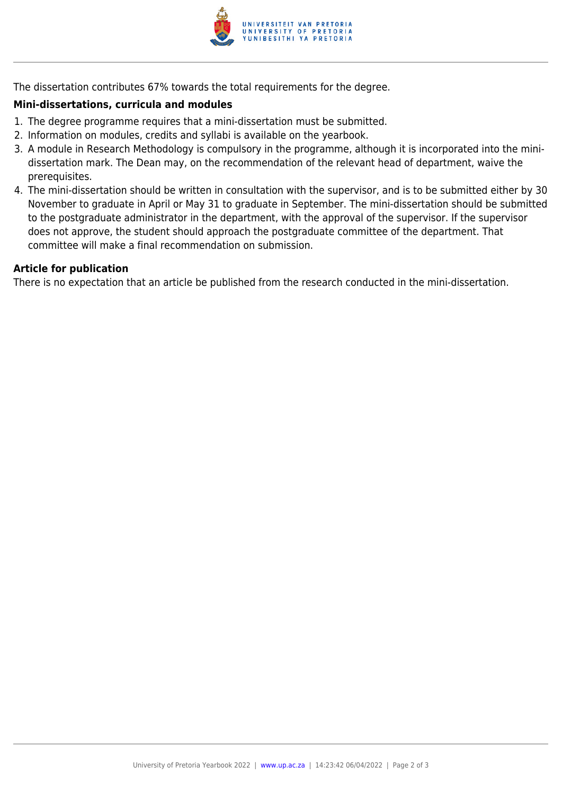

The dissertation contributes 67% towards the total requirements for the degree.

#### **Mini-dissertations, curricula and modules**

- 1. The degree programme requires that a mini-dissertation must be submitted.
- 2. Information on modules, credits and syllabi is available on the yearbook.
- 3. A module in Research Methodology is compulsory in the programme, although it is incorporated into the minidissertation mark. The Dean may, on the recommendation of the relevant head of department, waive the prerequisites.
- 4. The mini-dissertation should be written in consultation with the supervisor, and is to be submitted either by 30 November to graduate in April or May 31 to graduate in September. The mini-dissertation should be submitted to the postgraduate administrator in the department, with the approval of the supervisor. If the supervisor does not approve, the student should approach the postgraduate committee of the department. That committee will make a final recommendation on submission.

#### **Article for publication**

There is no expectation that an article be published from the research conducted in the mini-dissertation.